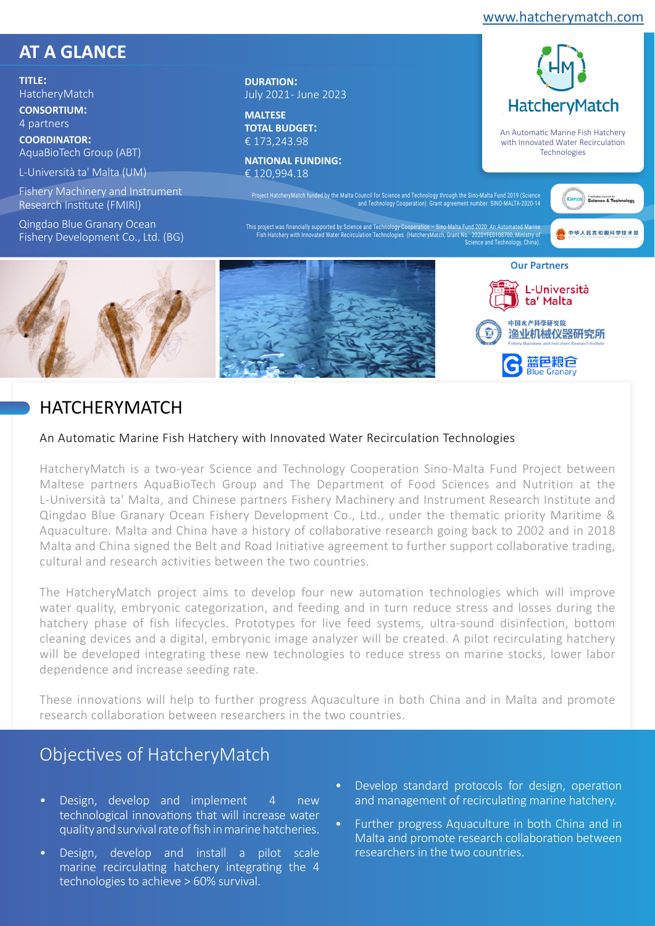[www.hatcherymatch.com](https://hatcherymatch.com/)

An Automatic Marine Fish Hatchery with Innovated Water Recirculation Technologies

中华人民共和国科学技术部

**HatchervMatch** 

# **AT A GLANCE**

**TITLE:**  HatcheryMatch **CONSORTIUM:** 

4 partners

**COORDINATOR:**  AquaBioTech Group (ABT)

L-Università ta' Malta (UM)

Fishery Machinery and Instrument Research Institute (FMIRI)

Qingdao Blue Granary Ocean Fishery Development Co., Ltd. (BG) **DURATION:**  July 2021 - June 2023

**MALTESE TOTAL BUDGET:**  € 173,243.98

**NATIONAL FUNDING:** 

Project HatcheryMatch funded by the Malta Council for Science and Technology through the Sino-Malta Fund 2019 (Science and Technology Cooperation). Grant agreement number: SINO-MALTA-2020-14

This project was tinancially supported by Science and Technology Cooperation – Sino-Malta Fund 2020: An Automated Marine<br>Fish Hatchery with Innovated Water Recirculation Technologies (HatcheryMatch, Grant No. 2020YFE01087



# HATCHERYMATCH

## An Automatic Marine Fish Hatchery with Innovated Water Recirculation Technologies

HatcheryMatch is a two-year Science and Technology Cooperation Sino-Malta Fund Project between Maltese partners AquaBioTech Group and The Department of Food Sciences and Nutrition at the L-Università ta' Malta, and Chinese partners Fishery Machinery and Instrument Research Institute and Qingdao Blue Granary Ocean Fishery Development Co., Ltd., under the thematic priority Maritime & Aquaculture. Malta and China have a history of collaborative research going back to 2002 and in 2018 Malta and China signed the Belt and Road Initiative agreement to further support collaborative trading, cultural and research activities between the two countries.

The HatcheryMatch project aims to develop four new automation technologies which will improve water quality, embryonic categorization, and feeding and in turn reduce stress and losses during the hatchery phase of fish lifecycles. Prototypes for live feed systems, ultra-sound disinfection, bottom cleaning devices and a digital, embryonic image analyzer will be created. A pilot recirculating hatchery will be developed integrating these new technologies to reduce stress on marine stocks, lower labor dependence and increase seeding rate.

These innovations will help to further progress Aquaculture in both China and in Malta and promote research collaboration between researchers in the two countries.

# Objectives of HatcheryMatch

- Design, develop and implement 4 new technological innovations that will increase water quality and survival rate of fish in marine hatcheries.
- Design, develop and install a pilot scale marine recirculating hatchery integrating the 4 technologies to achieve > 60% survival.
- Develop standard protocols for design, operation and management of recirculating marine hatchery.
- Further progress Aquaculture in both China and in Malta and promote research collaboration between researchers in the two countries.